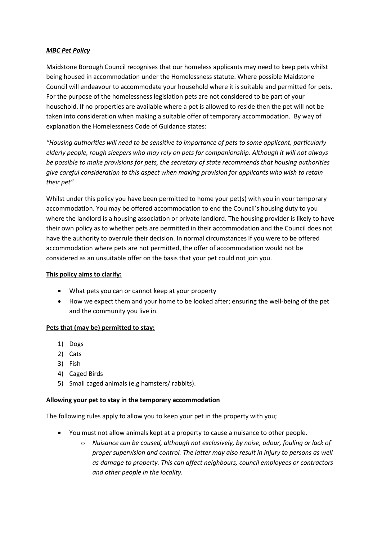### *MBC Pet Policy*

Maidstone Borough Council recognises that our homeless applicants may need to keep pets whilst being housed in accommodation under the Homelessness statute. Where possible Maidstone Council will endeavour to accommodate your household where it is suitable and permitted for pets. For the purpose of the homelessness legislation pets are not considered to be part of your household. If no properties are available where a pet is allowed to reside then the pet will not be taken into consideration when making a suitable offer of temporary accommodation. By way of explanation the Homelessness Code of Guidance states:

*"Housing authorities will need to be sensitive to importance of pets to some applicant, particularly elderly people, rough sleepers who may rely on pets for companionship. Although it will not always be possible to make provisions for pets, the secretary of state recommends that housing authorities give careful consideration to this aspect when making provision for applicants who wish to retain their pet"*

Whilst under this policy you have been permitted to home your pet(s) with you in your temporary accommodation. You may be offered accommodation to end the Council's housing duty to you where the landlord is a housing association or private landlord. The housing provider is likely to have their own policy as to whether pets are permitted in their accommodation and the Council does not have the authority to overrule their decision. In normal circumstances if you were to be offered accommodation where pets are not permitted, the offer of accommodation would not be considered as an unsuitable offer on the basis that your pet could not join you.

### **This policy aims to clarify:**

- What pets you can or cannot keep at your property
- How we expect them and your home to be looked after; ensuring the well-being of the pet and the community you live in.

### **Pets that (may be) permitted to stay:**

- 1) Dogs
- 2) Cats
- 3) Fish
- 4) Caged Birds
- 5) Small caged animals (e.g hamsters/ rabbits).

### **Allowing your pet to stay in the temporary accommodation**

The following rules apply to allow you to keep your pet in the property with you;

- You must not allow animals kept at a property to cause a nuisance to other people.
	- o *Nuisance can be caused, although not exclusively, by noise, odour, fouling or lack of proper supervision and control. The latter may also result in injury to persons as well as damage to property. This can affect neighbours, council employees or contractors and other people in the locality.*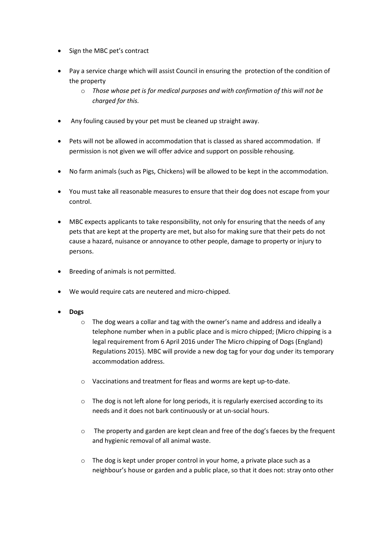- Sign the MBC pet's contract
- Pay a service charge which will assist Council in ensuring the protection of the condition of the property
	- o *Those whose pet is for medical purposes and with confirmation of this will not be charged for this.*
- Any fouling caused by your pet must be cleaned up straight away.
- Pets will not be allowed in accommodation that is classed as shared accommodation. If permission is not given we will offer advice and support on possible rehousing.
- No farm animals (such as Pigs, Chickens) will be allowed to be kept in the accommodation.
- You must take all reasonable measures to ensure that their dog does not escape from your control.
- MBC expects applicants to take responsibility, not only for ensuring that the needs of any pets that are kept at the property are met, but also for making sure that their pets do not cause a hazard, nuisance or annoyance to other people, damage to property or injury to persons.
- Breeding of animals is not permitted.
- We would require cats are neutered and micro-chipped.
- **Dogs** 
	- $\circ$  The dog wears a collar and tag with the owner's name and address and ideally a telephone number when in a public place and is micro chipped; (Micro chipping is a legal requirement from 6 April 2016 under The Micro chipping of Dogs (England) Regulations 2015). MBC will provide a new dog tag for your dog under its temporary accommodation address.
	- o Vaccinations and treatment for fleas and worms are kept up-to-date.
	- $\circ$  The dog is not left alone for long periods, it is regularly exercised according to its needs and it does not bark continuously or at un-social hours.
	- o The property and garden are kept clean and free of the dog's faeces by the frequent and hygienic removal of all animal waste.
	- o The dog is kept under proper control in your home, a private place such as a neighbour's house or garden and a public place, so that it does not: stray onto other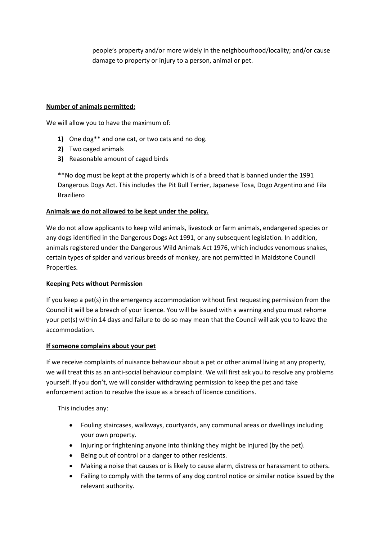people's property and/or more widely in the neighbourhood/locality; and/or cause damage to property or injury to a person, animal or pet.

### **Number of animals permitted:**

We will allow you to have the maximum of:

- **1)** One dog\*\* and one cat, or two cats and no dog.
- **2)** Two caged animals
- **3)** Reasonable amount of caged birds

\*\*No dog must be kept at the property which is of a breed that is banned under the 1991 Dangerous Dogs Act. This includes the Pit Bull Terrier, Japanese Tosa, Dogo Argentino and Fila Braziliero

# **Animals we do not allowed to be kept under the policy.**

We do not allow applicants to keep wild animals, livestock or farm animals, endangered species or any dogs identified in the Dangerous Dogs Act 1991, or any subsequent legislation. In addition, animals registered under the Dangerous Wild Animals Act 1976, which includes venomous snakes, certain types of spider and various breeds of monkey, are not permitted in Maidstone Council Properties.

### **Keeping Pets without Permission**

If you keep a pet(s) in the emergency accommodation without first requesting permission from the Council it will be a breach of your licence. You will be issued with a warning and you must rehome your pet(s) within 14 days and failure to do so may mean that the Council will ask you to leave the accommodation.

### **If someone complains about your pet**

If we receive complaints of nuisance behaviour about a pet or other animal living at any property, we will treat this as an anti-social behaviour complaint. We will first ask you to resolve any problems yourself. If you don't, we will consider withdrawing permission to keep the pet and take enforcement action to resolve the issue as a breach of licence conditions.

This includes any:

- Fouling staircases, walkways, courtyards, any communal areas or dwellings including your own property.
- Injuring or frightening anyone into thinking they might be injured (by the pet).
- Being out of control or a danger to other residents.
- Making a noise that causes or is likely to cause alarm, distress or harassment to others.
- Failing to comply with the terms of any dog control notice or similar notice issued by the relevant authority.